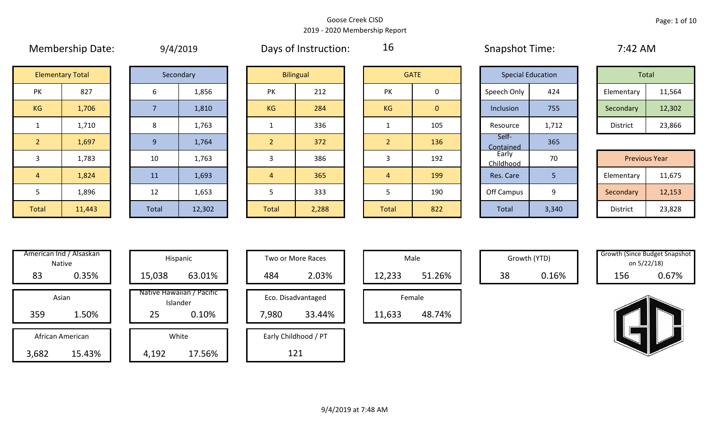|                | the company of the company of the company of the company of the company of the company of the company of the company of the company of the company of the company of the company of the company of the company of the company |       | $\sim$ $\sim$ $\sim$ $\sim$ | $\sim$ $\sim$ $\sim$ |                  |                |              | .                  |                          |            |                      |
|----------------|-------------------------------------------------------------------------------------------------------------------------------------------------------------------------------------------------------------------------------|-------|-----------------------------|----------------------|------------------|----------------|--------------|--------------------|--------------------------|------------|----------------------|
|                | <b>Elementary Total</b>                                                                                                                                                                                                       |       | Secondary                   |                      | <b>Bilingual</b> |                | <b>GATE</b>  |                    | <b>Special Education</b> | Total      |                      |
| PK             | 827                                                                                                                                                                                                                           | 6     | 1,856                       | PK                   | 212              | PK             | 0            | Speech Only        | 424                      | Elementary | 11,564               |
| KG             | 1,706                                                                                                                                                                                                                         |       | 1,810                       | <b>KG</b>            | 284              | <b>KG</b>      | $\mathbf{0}$ | Inclusion          | 755                      | Secondary  | 12,302               |
|                | 1,710                                                                                                                                                                                                                         | 8     | 1,763                       |                      | 336              |                | 105          | Resource           | 1,712                    | District   | 23,866               |
| $\overline{2}$ | 1,697                                                                                                                                                                                                                         | 9     | 1,764                       |                      | 372              | $\overline{2}$ | 136          | Self-<br>Contained | 365                      |            |                      |
| 3              | 1,783                                                                                                                                                                                                                         | 10    | 1,763                       | 3                    | 386              | 3              | 192          | Early<br>Childhood | 70                       |            | <b>Previous Year</b> |
| $\overline{4}$ | 1,824                                                                                                                                                                                                                         | 11    | 1,693                       | $\overline{4}$       | 365              | $\overline{4}$ | 199          | Res. Care          | 5                        | Elementary | 11,675               |
| 5              | 1,896                                                                                                                                                                                                                         | 12    | 1,653                       | 5.                   | 333              | 5              | 190          | Off Campus         | 9                        | Secondary  | 12,153               |
| Total          | 11,443                                                                                                                                                                                                                        | Total | 12,302                      | Total                | 2,288            | Total          | 822          | Total              | 3,340                    | District   | 23,828               |

| 9/4/2019 |  |
|----------|--|
|          |  |

Membership Date:  $\mu$  9/4/2019 Days of Instruction:  $\mu$  16 Snapshot Time: 7:42 AM

16

|                    | <b>Elementary Total</b> |  | Secondary |           | <b>Bilingual</b> |           | <b>GATE</b> |             | <b>Special Education</b> | Total      |        |
|--------------------|-------------------------|--|-----------|-----------|------------------|-----------|-------------|-------------|--------------------------|------------|--------|
| שנ<br>$\mathbf{v}$ | 827                     |  | 1,856     | PK        | 212              | PK        |             | Speech Only | 424                      | Elementary | 11,564 |
| G                  | 1,706                   |  | 1,810     | <b>KG</b> | 284              | <b>KG</b> | 0           | Inclusion   | 755                      | Secondary  | 12,302 |
|                    | 1,710                   |  | 1,763     |           | 336              |           | 105         | Resource    | 1,712                    | District   | 23,866 |

|                 | <b>Previous Year</b> |
|-----------------|----------------------|
| Elementary      | 11,675               |
| Secondary       | 12,153               |
| <b>District</b> | 23,828               |

| Hispani                    | American Ind / Alsaskan<br><b>Native</b> |       |
|----------------------------|------------------------------------------|-------|
| 15,038                     | 0.35%                                    | 83    |
| Native Hawaiiai<br>Islande | Asian                                    |       |
| 25                         | 1.50%                                    | 359   |
| White                      | African American                         |       |
| 4,192                      | 15.43%                                   | 3,682 |

| villerican inu 7 Alsaskan i<br>Native | Hispanic                              | Two or More Races    | Male             |    | Growth (YTD) | <b>Growth (Since Budget Shaps</b> | on 5/22/18) |
|---------------------------------------|---------------------------------------|----------------------|------------------|----|--------------|-----------------------------------|-------------|
| 83<br>0.35%                           | 63.01%<br>15,038                      | 2.03%<br>484         | 51.26%<br>12,233 | 38 | 0.16%        | 156                               | 0.67%       |
| Asian                                 | Native Hawaiian / Pacific<br>Islander | Eco. Disadvantaged   | Female           |    |              |                                   |             |
| 359<br>1.50%                          | 25<br>0.10%                           | 7,980<br>33.44%      | 48.74%<br>11,633 |    |              |                                   |             |
| African American                      | White                                 | Early Childhood / PT |                  |    |              |                                   |             |
| 3,682<br>15.43%                       | 17.56%<br>4,192                       | 121                  |                  |    |              |                                   |             |

| Hispanic                                |       | Two or More Races            |        | Male   |
|-----------------------------------------|-------|------------------------------|--------|--------|
| 63.01%                                  | 484   | 2.03%                        | 12,233 |        |
| lawaiian / Pacific<br>Islander<br>0.10% | 7,980 | Eco. Disadvantaged<br>33.44% | 11,633 | Female |
| White                                   |       | Early Childhood / PT         |        |        |

|        | Male   |  |
|--------|--------|--|
| 12,233 | 51.26% |  |
|        | Female |  |
| 633    | 18 71% |  |

Growth (YTD) Growth (Since Budget Snapshot on 5/22/18)

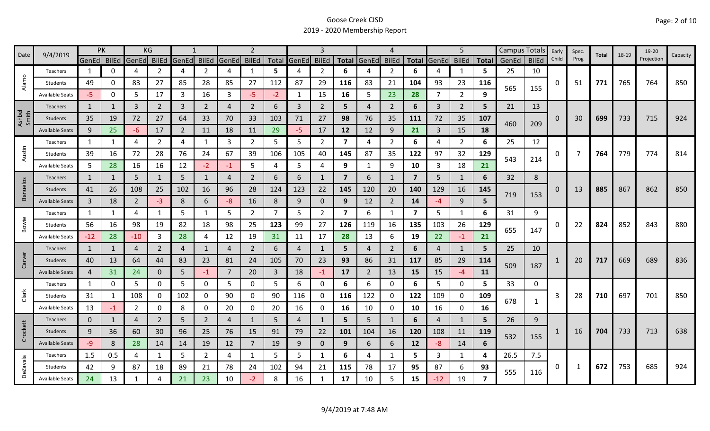|                 | 9/4/2019               | <b>PK</b>      |              |                | KG             |                |                |       | $\overline{2}$ |                |             | 3              |                         |                | 4              |                         |                | 5              |                |       | Campus Totals | Early    | Spec.          | Total | 18-19 | 19-20      |          |
|-----------------|------------------------|----------------|--------------|----------------|----------------|----------------|----------------|-------|----------------|----------------|-------------|----------------|-------------------------|----------------|----------------|-------------------------|----------------|----------------|----------------|-------|---------------|----------|----------------|-------|-------|------------|----------|
| Date            |                        | GenEd BilEd    |              | GenEd          | <b>BilEd</b>   | GenEd          | <b>BilEd</b>   | GenEd | <b>BilEd</b>   |                | Total GenEd | <b>BilEd</b>   |                         | Total GenEd    | <b>BilEd</b>   | <b>Total</b>            | GenEd BilEd    |                | <b>Total</b>   | GenEd | <b>BilEd</b>  | Child    | Prog           |       |       | Projection | Capacity |
|                 | Teachers               | 1              | 0            | 4              | 2              | 4              | $\overline{2}$ | 4     | $\mathbf{1}$   | 5              | 4           | 2              | 6                       |                | 2              | 6                       |                | 1              | 5.             | 25    | 10            |          |                |       |       |            |          |
| Alamo           | Students               | 49             | 0            | 83             | 27             | 85             | 28             | 85    | 27             | 112            | 87          | 29             | 116                     | 83             | 21             | 104                     | 93             | 23             | 116            | 565   |               | 0        | 51             | 771   | 765   | 764        | 850      |
|                 | <b>Available Seats</b> | -5.            | 0            | 5              | 17             | 3              | 16             | 3     | $-5$           | $-2$           | 1           | 15             | 16                      | 5              | 23             | 28                      | 7              | $\overline{2}$ | q              |       | 155           |          |                |       |       |            |          |
|                 | <b>Teachers</b>        | 1              |              | 3              | $\overline{2}$ | $\overline{3}$ | $\overline{2}$ | 4     | $\overline{2}$ | 6              | 3           | $\overline{2}$ | 5                       | $\overline{4}$ | 2              | 6                       | 3              | $\overline{2}$ | 5              | 21    | 13            |          |                |       |       |            |          |
| Ashbel<br>Smith | Students               | 35             | 19           | 72             | 27             | 64             | 33             | 70    | 33             | 103            | 71          | 27             | 98                      | 76             | 35             | 111                     | 72             | 35             | 107            |       |               | $\Omega$ | 30             | 699   | 733   | 715        | 924      |
|                 | <b>Available Seats</b> | 9              | 25           | -6             | 17             | $\overline{2}$ | 11             | 18    | 11             | 29             | $-5$        | 17             | 12                      | 12             | 9              | 21                      | 3              | 15             | 18             | 460   | 209           |          |                |       |       |            |          |
|                 | Teachers               | 1              | 1            | 4              | 2              | 4              | $\mathbf{1}$   | 3     | $\overline{2}$ | 5              | 5           | $\overline{2}$ | 7                       | 4              | $\overline{2}$ | 6                       | 4              | $\overline{2}$ | 6              | 25    | 12            |          |                |       |       |            |          |
| Austin          | Students               | 39             | 16           | 72             | 28             | 76             | 24             | 67    | 39             | 106            | 105         | 40             | 145                     | 87             | 35             | 122                     | 97             | 32             | 129            |       |               | 0        | $\overline{7}$ | 764   | 779   | 774        | 814      |
|                 | <b>Available Seats</b> | 5              | 28           | 16             | 16             | 12             | $-2$           | -1    | 5              | 4              | 5           | 4              | 9                       | 1              | 9              | 10                      | 3              | 18             | 21             | 543   | 214           |          |                |       |       |            |          |
|                 | Teachers               | $\mathbf{1}$   | 1            | 5              | $\mathbf{1}$   | 5              | $\mathbf{1}$   | 4     | $\overline{2}$ | 6              | 6           |                | $\overline{7}$          | 6              | $\mathbf{1}$   | $\overline{7}$          | 5              | 1              | 6              | 32    | 8             |          |                |       |       |            |          |
| <b>Banuelos</b> | Students               | 41             | 26           | 108            | 25             | 102            | 16             | 96    | 28             | 124            | 123         | 22             | 145                     | 120            | 20             | 140                     | 129            | 16             | 145            |       |               | 0        | 13             | 885   | 867   | 862        | 850      |
|                 | <b>Available Seats</b> | $\overline{3}$ | 18           | $\overline{2}$ | $-3$           | 8              | 6              | -8    | 16             | 8              | 9           | $\mathbf{0}$   | 9                       | 12             | $\overline{2}$ | 14                      | -4             | 9              | 5              | 719   | 153           |          |                |       |       |            |          |
|                 | Teachers               | 1              | $\mathbf{1}$ | 4              | 1              | 5              | 1              | 5     | $\overline{2}$ | 7              | 5           | $\overline{2}$ | $\overline{\mathbf{z}}$ | 6              | -1             | $\overline{\mathbf{z}}$ | 5              | 1              | 6              | 31    | 9             |          |                |       |       |            |          |
| Bowie           | Students               | 56             | 16           | 98             | 19             | 82             | 18             | 98    | 25             | 123            | 99          | 27             | 126                     | 119            | 16             | 135                     | 103            | 26             | 129            |       |               | 0        | 22             | 824   | 852   | 843        | 880      |
|                 | <b>Available Seats</b> | $-12$          | 28           | $-10$          | 3              | 28             | 4              | 12    | 19             | 31             | 11          | 17             | 28                      | 13             | 6              | 19                      | 22             | $-1$           | 21             | 655   | 147           |          |                |       |       |            |          |
|                 | Teachers               | $\mathbf{1}$   | $\mathbf{1}$ | 4              | $\overline{2}$ | $\overline{4}$ | $\mathbf{1}$   | 4     | $\overline{2}$ | 6              | 4           |                | 5                       | 4              | $\overline{2}$ | 6                       | $\overline{4}$ | $\mathbf{1}$   | 5              | 25    | 10            |          |                |       |       |            |          |
| Carver          | Students               | 40             | 13           | 64             | 44             | 83             | 23             | 81    | 24             | 105            | 70          | 23             | 93                      | 86             | 31             | 117                     | 85             | 29             | 114            |       |               |          | 20             | 717   | 669   | 689        | 836      |
|                 | <b>Available Seats</b> | 4              | 31           | 24             | $\mathbf{0}$   | 5              | $-1$           | 7     | 20             | $\overline{3}$ | 18          | $-1$           | 17                      | $\overline{2}$ | 13             | 15                      | 15             | $-4$           | 11             | 509   | 187           |          |                |       |       |            |          |
|                 | Teachers               | $\mathbf{1}$   | 0            | 5              | 0              | 5              | 0              | 5     | 0              | 5              | 6           | 0              | 6                       | 6              | 0              | 6                       | 5              | $\mathbf 0$    | 5              | 33    | 0             |          |                |       |       |            |          |
| Clark           | Students               | 31             | 1            | 108            | 0              | 102            | 0              | 90    | 0              | 90             | 116         | 0              | 116                     | 122            | 0              | 122                     | 109            | $\mathbf 0$    | 109            |       |               | 3        | 28             | 710   | 697   | 701        | 850      |
|                 | <b>Available Seats</b> | 13             | -1           | 2              | 0              | 8              | 0              | 20    | 0              | 20             | 16          | 0              | 16                      | 10             | 0              | 10                      | 16             | 0              | 16             | 678   | 1             |          |                |       |       |            |          |
|                 | Teachers               | $\mathbf{0}$   | 1            | 4              | $\overline{2}$ | 5              | $\overline{2}$ | 4     | $\mathbf{1}$   | 5              | 4           |                | 5                       | 5              | 1              | 6                       | 4              | 1              | 5.             | 26    | 9             |          |                |       |       |            |          |
| Crockett        | Students               | 9              | 36           | 60             | 30             | 96             | 25             | 76    | 15             | 91             | 79          | 22             | 101                     | 104            | 16             | 120                     | 108            | 11             | 119            |       |               |          | 16             | 704   | 733   | 713        | 638      |
|                 | <b>Available Seats</b> | -9             | 8            | 28             | 14             | 14             | 19             | 12    | $\overline{7}$ | 19             | 9           | $\mathbf{0}$   | 9                       | 6              | 6              | 12                      | $-8$           | 14             | 6              | 532   | 155           |          |                |       |       |            |          |
|                 | Teachers               | 1.5            | 0.5          | 4              | 1              | 5              | $\overline{2}$ | 4     | 1              | 5              | 5           | 1              | 6                       | 4              | 1              | 5.                      | 3              | 1              | 4              | 26.5  | 7.5           |          |                |       |       |            |          |
| <b>DeZavala</b> | Students               | 42             | 9            | 87             | 18             | 89             | 21             | 78    | 24             | 102            | 94          | 21             | 115                     | 78             | 17             | 95                      | 87             | 6              | 93             |       |               | 0        | 1              | 672   | 753   | 685        | 924      |
|                 | <b>Available Seats</b> | 24             | 13           | 1              |                | 21             | 23             | 10    | $-2$           | 8              | 16          |                | 17                      | 10             | 5              | 15                      | $-12$          | 19             | $\overline{ }$ | 555   | 116           |          |                |       |       |            |          |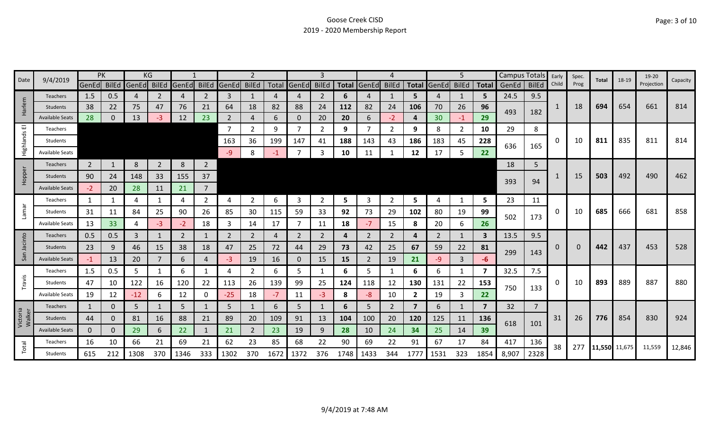| Date               | 9/4/2019               |                | PK           |       | KG             |       |                |                |                |      |                | 3              |      |                |                |                |                   | 5              |              | Campus Totals |                | Early       | Spec. | Total         | 18-19 | 19-20      | Capacity |
|--------------------|------------------------|----------------|--------------|-------|----------------|-------|----------------|----------------|----------------|------|----------------|----------------|------|----------------|----------------|----------------|-------------------|----------------|--------------|---------------|----------------|-------------|-------|---------------|-------|------------|----------|
|                    |                        | GenEd BilEd    |              | GenEd | <b>BilEd</b>   | GenEd | <b>BilEd</b>   | GenEd BilEd    |                |      | Total GenEd    | <b>BilEd</b>   |      | Total GenEd    | <b>BilEd</b>   |                | Total GenEd BilEd |                | Total        | GenEd         | <b>BilEd</b>   | Child       | Prog  |               |       | Projection |          |
|                    | <b>Teachers</b>        | 1.5            | 0.5          | 4     | 2              | 4     | 2              | 3              | 1              |      | 4              | 2              | 6    |                | 1              | 5.             | 4                 |                | 5            | 24.5          | 9.5            |             |       |               |       |            |          |
| Harlem             | <b>Students</b>        | 38             | 22           | 75    | 47             | 76    | 21             | 64             | 18             | 82   | 88             | 24             | 112  | 82             | 24             | 106            | 70                | 26             | 96           | 493           | 182            | 1           | 18    | 694           | 654   | 661        | 814      |
|                    | <b>Available Seats</b> | 28             | $\mathbf{0}$ | 13    | -3             | 12    | 23             | $\overline{2}$ | $\overline{4}$ | 6    | $\mathbf{0}$   | 20             | 20   | 6              | $-2$           | 4              | 30                | $-1$           | 29           |               |                |             |       |               |       |            |          |
| ш                  | Teachers               |                |              |       |                |       |                | 7              | $\overline{2}$ | 9    | 7              | $\overline{2}$ | 9    |                | 2              | 9              | 8                 | $\overline{2}$ | 10           | 29            | 8              |             |       |               |       |            |          |
| Highlands          | Students               |                |              |       |                |       |                | 163            | 36             | 199  | 147            | 41             | 188  | 143            | 43             | 186            | 183               | 45             | 228          | 636           | 165            | 0           | 10    | 811           | 835   | 811        | 814      |
|                    | <b>Available Seats</b> |                |              |       |                |       |                | -9             | 8              | -1   |                | 3              | 10   | 11             |                | 12             | 17                | 5              | 22           |               |                |             |       |               |       |            |          |
|                    | Teachers               | $\overline{2}$ | 1            | 8     | $\overline{2}$ | 8     | $\overline{2}$ |                |                |      |                |                |      |                |                |                |                   |                |              | 18            | 5              |             |       |               |       |            |          |
| Hopper             | Students               | 90             | 24           | 148   | 33             | 155   | 37             |                |                |      |                |                |      |                |                |                |                   |                |              |               |                |             | 15    | 503           | 492   | 490        | 462      |
|                    | <b>Available Seats</b> | $-2$           | 20           | 28    | 11             | 21    | $\overline{7}$ |                |                |      |                |                |      |                |                |                |                   |                |              | 393           | 94             |             |       |               |       |            |          |
|                    | Teachers               | $\mathbf{1}$   | 1            | 4     |                | 4     | $\overline{2}$ | 4              | $\overline{2}$ | 6    | 3              | 2              | 5    | 3              | 2              | 5.             | 4                 | 1              | 5            | 23            | 11             |             |       |               |       |            |          |
| <b>Lamar</b>       | Students               | 31             | 11           | 84    | 25             | 90    | 26             | 85             | 30             | 115  | 59             | 33             | 92   | 73             | 29             | 102            | 80                | 19             | 99           |               |                | 0           | 10    | 685           | 666   | 681        | 858      |
|                    | <b>Available Seats</b> | 13             | 33           | 4     | -3             | $-2$  | 18             | 3              | 14             | 17   | $\overline{7}$ | 11             | 18   | $-7$           | 15             | 8              | 20                | 6              | 26           | 502           | 173            |             |       |               |       |            |          |
|                    | <b>Teachers</b>        | 0.5            | 0.5          | 3     | $\mathbf{1}$   | 2     | 1              | 2              | $\overline{2}$ | 4    | 2              | 2              | 4    | 2              | 2              | 4              | 2                 | 1              | $\mathbf{3}$ | 13.5          | 9.5            |             |       |               |       |            |          |
| Jacinto            | Students               | 23             | 9            | 46    | 15             | 38    | 18             | 47             | 25             | 72   | 44             | 29             | 73   | 42             | 25             | 67             | 59                | 22             | 81           |               |                | $\mathbf 0$ |       | 442           | 437   | 453        | 528      |
| San                | <b>Available Seats</b> | $-1$           | 13           | 20    | 7              | 6     | 4              | -3             | 19             | 16   | $\mathbf{0}$   | 15             | 15   | $\overline{2}$ | 19             | 21             | $-9$              | 3              | -6           | 299           | 143            |             |       |               |       |            |          |
|                    | Teachers               | 1.5            | 0.5          | 5     |                | 6     | 1              | 4              | $\overline{2}$ | 6    | 5              | 1              | 6    | 5              |                | 6              | 6                 | 1              | 7            | 32.5          | 7.5            |             |       |               |       |            |          |
| Travis             | Students               | 47             | 10           | 122   | 16             | 120   | 22             | 113            | 26             | 139  | 99             | 25             | 124  | 118            | 12             | 130            | 131               | 22             | 153          |               |                | 0           | 10    | 893           | 889   | 887        | 880      |
|                    | <b>Available Seats</b> | 19             | 12           | $-12$ | 6              | 12    | 0              | $-25$          | 18             | $-7$ | 11             | -3             | 8    | -8             | 10             | $\overline{2}$ | 19                | 3              | 22           | 750           | 133            |             |       |               |       |            |          |
|                    | Teachers               | $\mathbf{1}$   | 0            | 5     |                | 5     |                | 5              | $\mathbf{1}$   | 6    | 5              |                | 6    | 5.             | $\overline{2}$ | $\overline{7}$ | 6                 | $\mathbf{1}$   | 7            | 32            | $\overline{7}$ |             |       |               |       |            |          |
| Victoria<br>Walker | <b>Students</b>        | 44             | $\mathbf{0}$ | 81    | 16             | 88    | 21             | 89             | 20             | 109  | 91             | 13             | 104  | 100            | 20             | 120            | 125               | 11             | 136          |               |                | 31          | 26    | 776           | 854   | 830        | 924      |
|                    | <b>Available Seats</b> | $\mathbf{0}$   | $\Omega$     | 29    | 6.             | 22    |                | 21             | $\overline{2}$ | 23   | 19             | 9              | 28   | 10             | 24             | 34             | 25                | 14             | 39           | 618           | 101            |             |       |               |       |            |          |
|                    | Teachers               | 16             | 10           | 66    | 21             | 69    | 21             | 62             | 23             | 85   | 68             | 22             | 90   | 69             | 22             | 91             | 67                | 17             | 84           | 417           | 136            | 38          | 277   |               |       |            |          |
| Total              | Students               | 615            | 212          | 1308  | 370            | 1346  | 333            | 1302           | 370            | 1672 | 1372           | 376            | 1748 | 1433           | 344            | 1777           | 1531              | 323            | 1854         | 8,907         | 2328           |             |       | 11,550 11,675 |       | 11,559     | 12,846   |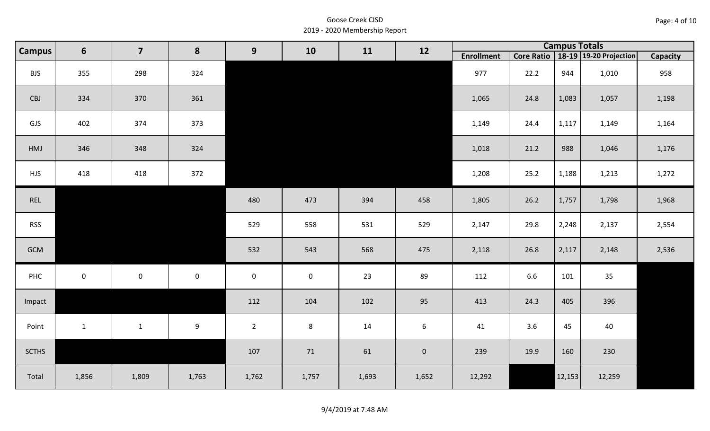| Page: 4 of 10 |  |
|---------------|--|
|---------------|--|

| <b>Campus</b> | $6\phantom{1}$ | $\overline{\mathbf{z}}$ | 8                   | 9                   | 10          | 11    | 12          |                   |      |        | <b>Campus Totals</b>                  |          |
|---------------|----------------|-------------------------|---------------------|---------------------|-------------|-------|-------------|-------------------|------|--------|---------------------------------------|----------|
|               |                |                         |                     |                     |             |       |             | <b>Enrollment</b> |      |        | Core Ratio   18-19   19-20 Projection | Capacity |
| <b>BJS</b>    | 355            | 298                     | 324                 |                     |             |       |             | 977               | 22.2 | 944    | 1,010                                 | 958      |
| CBJ           | 334            | 370                     | 361                 |                     |             |       |             | 1,065             | 24.8 | 1,083  | 1,057                                 | 1,198    |
| GJS           | 402            | 374                     | 373                 |                     |             |       |             | 1,149             | 24.4 | 1,117  | 1,149                                 | 1,164    |
| HMJ           | 346            | 348                     | 324                 |                     |             |       |             | 1,018             | 21.2 | 988    | 1,046                                 | 1,176    |
| <b>HJS</b>    | 418            | 418                     | 372                 |                     |             |       |             | 1,208             | 25.2 | 1,188  | 1,213                                 | 1,272    |
| REL           |                |                         |                     | 480                 | 473         | 394   | 458         | 1,805             | 26.2 | 1,757  | 1,798                                 | 1,968    |
| <b>RSS</b>    |                |                         |                     | 529                 | 558         | 531   | 529         | 2,147             | 29.8 | 2,248  | 2,137                                 | 2,554    |
| GCM           |                |                         |                     | 532                 | 543         | 568   | 475         | 2,118             | 26.8 | 2,117  | 2,148                                 | 2,536    |
| PHC           | $\mathbf 0$    | $\mathsf{O}$            | $\mathsf{O}\xspace$ | $\mathsf{O}\xspace$ | $\mathbf 0$ | 23    | 89          | 112               | 6.6  | 101    | 35                                    |          |
| Impact        |                |                         |                     | 112                 | 104         | 102   | 95          | 413               | 24.3 | 405    | 396                                   |          |
| Point         | $\mathbf{1}$   | $\mathbf{1}$            | 9                   | $2^{\circ}$         | 8           | 14    | 6           | 41                | 3.6  | 45     | 40                                    |          |
| <b>SCTHS</b>  |                |                         |                     | 107                 | 71          | 61    | $\mathbf 0$ | 239               | 19.9 | 160    | 230                                   |          |
| Total         | 1,856          | 1,809                   | 1,763               | 1,762               | 1,757       | 1,693 | 1,652       | 12,292            |      | 12,153 | 12,259                                |          |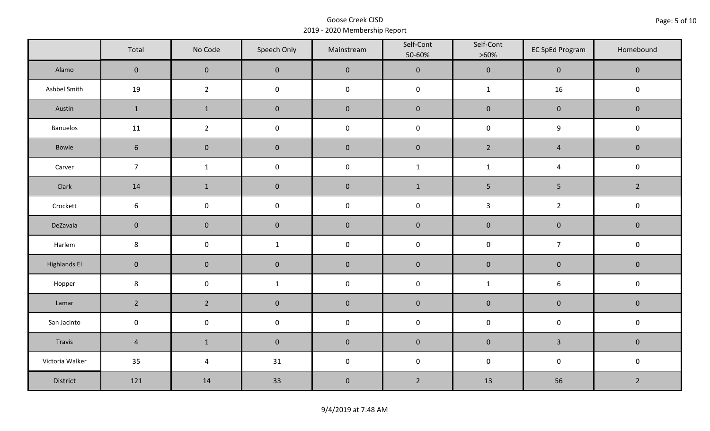|                     | Total               | No Code             | Speech Only  | Mainstream  | Self-Cont<br>50-60% | Self-Cont<br>$>60\%$ | <b>EC SpEd Program</b> | Homebound      |  |
|---------------------|---------------------|---------------------|--------------|-------------|---------------------|----------------------|------------------------|----------------|--|
| Alamo               | $\overline{0}$      | $\mathbf{0}$        | $\mathbf{0}$ | $\pmb{0}$   | $\pmb{0}$           | $\pmb{0}$            | $\mathbf 0$            | $\mathbf 0$    |  |
| Ashbel Smith        | 19                  | $\overline{2}$      | $\mathsf 0$  | $\pmb{0}$   | $\pmb{0}$           | $\mathbf{1}$         | 16                     | $\pmb{0}$      |  |
| Austin              | $\mathbf{1}$        | $\mathbf 1$         | $\mathbf 0$  | $\pmb{0}$   | $\pmb{0}$           | $\pmb{0}$            | $\pmb{0}$              | $\mathbf 0$    |  |
| Banuelos            | 11                  | $\overline{2}$      | $\pmb{0}$    | $\pmb{0}$   | $\pmb{0}$           | $\pmb{0}$            | 9                      | $\pmb{0}$      |  |
| Bowie               | $6\phantom{1}$      | $\mathbf 0$         | $\mathbf{0}$ | $\mathbf 0$ | $\mathbf 0$         | $2^{\circ}$          | $\overline{4}$         | $\mathbf 0$    |  |
| Carver              | $\overline{7}$      | $\mathbf{1}$        | $\pmb{0}$    | $\pmb{0}$   | $\mathbf{1}$        | $\mathbf{1}$         | $\overline{4}$         | $\pmb{0}$      |  |
| Clark               | 14                  | $\mathbf{1}$        | $\mathbf 0$  | $\pmb{0}$   | $1\,$               | $5\phantom{.0}$      | $\overline{5}$         | $\overline{2}$ |  |
| Crockett            | 6                   | $\mathsf 0$         | $\pmb{0}$    | $\pmb{0}$   | $\pmb{0}$           | $\mathbf{3}$         | $\overline{2}$         | $\pmb{0}$      |  |
| DeZavala            | $\mathbf 0$         | $\mathbf 0$         | $\mathbf 0$  | $\pmb{0}$   | $\pmb{0}$           | $\pmb{0}$            | $\pmb{0}$              | $\pmb{0}$      |  |
| Harlem              | $\bf 8$             | $\pmb{0}$           | $\mathbf{1}$ | $\pmb{0}$   | $\pmb{0}$           | $\pmb{0}$            | $\overline{7}$         | $\pmb{0}$      |  |
| <b>Highlands El</b> | $\mathbf 0$         | $\mathbf 0$         | $\mathbf 0$  | $\pmb{0}$   | $\pmb{0}$           | $\pmb{0}$            | $\pmb{0}$              | $\mathbf 0$    |  |
| Hopper              | $\bf 8$             | $\mathsf{O}\xspace$ | $\mathbf{1}$ | $\pmb{0}$   | $\pmb{0}$           | $\mathbf 1$          | $\boldsymbol{6}$       | $\pmb{0}$      |  |
| Lamar               | $2^{\circ}$         | $\overline{2}$      | $\mathbf 0$  | $\pmb{0}$   | $\pmb{0}$           | $\pmb{0}$            | $\pmb{0}$              | $\pmb{0}$      |  |
| San Jacinto         | $\mathsf{O}\xspace$ | $\pmb{0}$           | $\pmb{0}$    | $\pmb{0}$   | $\pmb{0}$           | $\pmb{0}$            | $\pmb{0}$              | $\pmb{0}$      |  |
| Travis              | $\overline{4}$      | $\mathbf{1}$        | $\mathbf 0$  | $\pmb{0}$   | $\pmb{0}$           | $\pmb{0}$            | $\overline{3}$         | $\mathbf 0$    |  |
| Victoria Walker     | 35                  | $\pmb{4}$           | 31           | $\pmb{0}$   | $\pmb{0}$           | $\pmb{0}$            | $\pmb{0}$              | $\pmb{0}$      |  |
| District            | 121                 | 14                  | 33           | $\pmb{0}$   | $\overline{2}$      | 13                   | 56                     | $\overline{2}$ |  |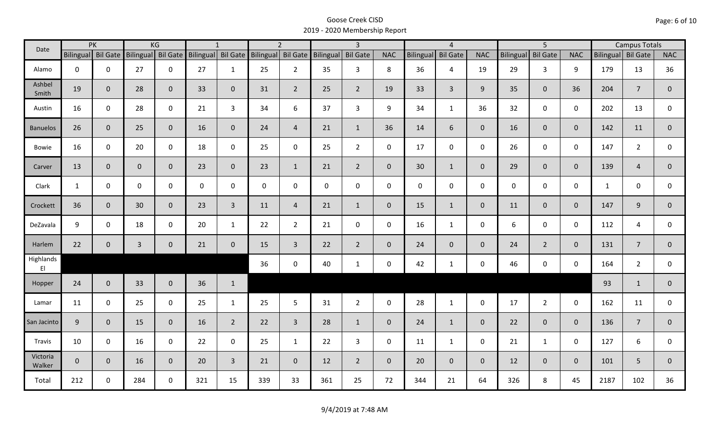| Date                                |              | PK                 |              | KG              |     | $\mathbf{1}$       |                    | $\overline{2}$ |                     | $\overline{3}$  |                |             | $\overline{4}$  |                |                  | $\overline{5}$  |                |                    | <b>Campus Totals</b> |                |
|-------------------------------------|--------------|--------------------|--------------|-----------------|-----|--------------------|--------------------|----------------|---------------------|-----------------|----------------|-------------|-----------------|----------------|------------------|-----------------|----------------|--------------------|----------------------|----------------|
|                                     |              | Bilingual Bil Gate | Bilingual    | <b>Bil Gate</b> |     | Bilingual Bil Gate | Bilingual Bil Gate |                | Bilingual           | <b>Bil Gate</b> | <b>NAC</b>     | Bilingual   | <b>Bil Gate</b> | <b>NAC</b>     | <b>Bilingual</b> | <b>Bil Gate</b> | <b>NAC</b>     | Bilingual Bil Gate |                      | <b>NAC</b>     |
| Alamo                               | $\mathbf 0$  | 0                  | 27           | $\mathbf 0$     | 27  | $\mathbf{1}$       | 25                 | $\overline{2}$ | 35                  | $\overline{3}$  | 8              | 36          | $\overline{4}$  | 19             | 29               | $\overline{3}$  | 9              | 179                | 13                   | 36             |
| Ashbel<br>Smith                     | 19           | $\mathbf{0}$       | 28           | $\overline{0}$  | 33  | $\overline{0}$     | 31                 | $\overline{2}$ | 25                  | $2^{\circ}$     | 19             | 33          | $\overline{3}$  | 9              | 35               | $\overline{0}$  | 36             | 204                | $\overline{7}$       | 0              |
| Austin                              | 16           | $\mathbf 0$        | 28           | $\mathbf 0$     | 21  | $\overline{3}$     | 34                 | 6              | 37                  | $\overline{3}$  | 9              | 34          | $\mathbf{1}$    | 36             | 32               | $\overline{0}$  | $\mathbf 0$    | 202                | 13                   | 0              |
| <b>Banuelos</b>                     | 26           | $\mathbf{0}$       | 25           | $\mathbf{0}$    | 16  | $\overline{0}$     | 24                 | $\overline{4}$ | 21                  | $\mathbf{1}$    | 36             | 14          | 6               | $\overline{0}$ | 16               | $\overline{0}$  | $\overline{0}$ | 142                | 11                   | $\overline{0}$ |
| Bowie                               | 16           | $\mathbf 0$        | 20           | $\mathsf{O}$    | 18  | $\mathbf 0$        | 25                 | $\mathbf 0$    | 25                  | $2^{\circ}$     | $\mathbf 0$    | 17          | $\mathbf 0$     | $\mathbf 0$    | 26               | $\mathbf 0$     | $\mathbf 0$    | 147                | $\overline{2}$       | 0              |
| Carver                              | 13           | $\mathbf{0}$       | $\mathbf{0}$ | $\mathbf 0$     | 23  | $\overline{0}$     | 23                 | $\mathbf{1}$   | 21                  | $2^{\circ}$     | $\overline{0}$ | 30          | $\mathbf{1}$    | $\overline{0}$ | 29               | $\overline{0}$  | $\mathbf{0}$   | 139                | $\overline{4}$       | $\overline{0}$ |
| Clark                               | $\mathbf{1}$ | $\mathbf 0$        | 0            | $\mathbf 0$     | 0   | 0                  | $\mathbf 0$        | $\mathbf 0$    | $\mathsf{O}\xspace$ | $\mathsf{O}$    | $\mathbf 0$    | $\mathbf 0$ | $\mathsf{O}$    | $\mathbf 0$    | $\mathbf 0$      | $\mathbf 0$     | $\mathbf 0$    | $\mathbf{1}$       | $\mathbf 0$          | 0              |
| Crockett                            | 36           | $\mathbf{0}$       | 30           | $\mathbf 0$     | 23  | $\overline{3}$     | 11                 | $\overline{4}$ | 21                  | $\mathbf{1}$    | $\overline{0}$ | 15          | $\mathbf{1}$    | $\overline{0}$ | 11               | $\overline{0}$  | $\mathbf{0}$   | 147                | 9                    | $\overline{0}$ |
| DeZavala                            | 9            | $\mathbf 0$        | 18           | $\mathsf{O}$    | 20  | $\mathbf{1}$       | 22                 | $2^{\circ}$    | 21                  | $\mathsf{O}$    | $\mathbf 0$    | 16          | $\mathbf{1}$    | $\mathbf 0$    | 6                | $\mathbf 0$     | $\mathbf 0$    | 112                | 4                    | $\mathbf 0$    |
| Harlem                              | 22           | $\mathbf 0$        | $\mathbf{3}$ | $\mathbf 0$     | 21  | $\mathbf 0$        | 15                 | $\mathbf{3}$   | 22                  | $2^{\circ}$     | $\overline{0}$ | 24          | $\overline{0}$  | $\overline{0}$ | 24               | $2^{\circ}$     | $\overline{0}$ | 131                | $\overline{7}$       | $\mathbf{0}$   |
| Highlands<br>$\mathsf{E}\mathsf{I}$ |              |                    |              |                 |     |                    | 36                 | $\mathbf 0$    | 40                  | $\mathbf{1}$    | $\mathbf 0$    | 42          | $\mathbf{1}$    | $\mathsf{O}$   | 46               | $\mathsf{O}$    | $\mathbf 0$    | 164                | $\overline{2}$       | $\mathbf 0$    |
| Hopper                              | 24           | $\mathbf{0}$       | 33           | $\overline{0}$  | 36  | $\mathbf{1}$       |                    |                |                     |                 |                |             |                 |                |                  |                 |                | 93                 | $\mathbf{1}$         | $\mathbf 0$    |
| Lamar                               | 11           | $\mathbf 0$        | 25           | $\mathbf 0$     | 25  | $\mathbf{1}$       | 25                 | 5 <sup>1</sup> | 31                  | $2^{\circ}$     | $\mathbf 0$    | 28          | $\mathbf{1}$    | $\mathsf{O}$   | 17               | $2^{\circ}$     | $\mathbf 0$    | 162                | 11                   | $\mathbf 0$    |
| San Jacinto                         | 9            | $\mathbf{0}$       | 15           | $\mathbf{0}$    | 16  | $\overline{2}$     | 22                 | $\overline{3}$ | 28                  | $\mathbf{1}$    | $\overline{0}$ | 24          | $\mathbf{1}$    | $\overline{0}$ | 22               | $\overline{0}$  | $\mathbf{0}$   | 136                | $\overline{7}$       | $\overline{0}$ |
| Travis                              | 10           | $\mathbf 0$        | 16           | $\mathbf 0$     | 22  | $\mathbf 0$        | 25                 | $\mathbf{1}$   | 22                  | $\mathbf{3}$    | $\mathbf 0$    | 11          | $\mathbf{1}$    | $\mathbf 0$    | 21               | $\mathbf{1}$    | $\mathbf 0$    | 127                | 6                    | $\mathbf 0$    |
| Victoria<br>Walker                  | $\mathbf{0}$ | $\mathbf 0$        | 16           | $\mathbf{0}$    | 20  | $\overline{3}$     | 21                 | $\overline{0}$ | 12                  | $2^{\circ}$     | $\mathbf 0$    | 20          | $\overline{0}$  | $\overline{0}$ | 12               | $\mathbf{0}$    | $\mathbf{0}$   | 101                | 5                    | $\mathbf{0}$   |
| Total                               | 212          | $\mathbf 0$        | 284          | $\mathbf 0$     | 321 | 15                 | 339                | 33             | 361                 | 25              | 72             | 344         | 21              | 64             | 326              | 8               | 45             | 2187               | 102                  | 36             |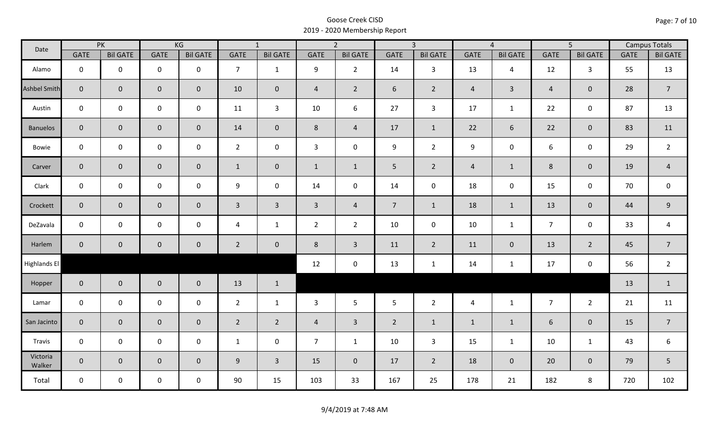| Date                |                | PK                  |                     | KG              |                | $\overline{1}$  |                | $\overline{2}$  |                | $\overline{3}$  |                | $\overline{4}$  |                | $\overline{5}$  |             | <b>Campus Totals</b> |
|---------------------|----------------|---------------------|---------------------|-----------------|----------------|-----------------|----------------|-----------------|----------------|-----------------|----------------|-----------------|----------------|-----------------|-------------|----------------------|
|                     | <b>GATE</b>    | <b>Bil GATE</b>     | <b>GATE</b>         | <b>Bil GATE</b> | <b>GATE</b>    | <b>Bil GATE</b> | <b>GATE</b>    | <b>Bil GATE</b> | <b>GATE</b>    | <b>Bil GATE</b> | <b>GATE</b>    | <b>Bil GATE</b> | <b>GATE</b>    | <b>Bil GATE</b> | <b>GATE</b> | <b>Bil GATE</b>      |
| Alamo               | $\mathbf 0$    | $\mathbf 0$         | $\mathbf 0$         | $\mathbf 0$     | $\overline{7}$ | $\mathbf{1}$    | 9              | $\overline{2}$  | 14             | $\mathbf{3}$    | 13             | $\overline{4}$  | 12             | $\mathbf{3}$    | 55          | 13                   |
| <b>Ashbel Smith</b> | $\mathbf{0}$   | $\mathbf{0}$        | $\mathbf 0$         | $\overline{0}$  | 10             | $\mathbf 0$     | $\overline{4}$ | $\overline{2}$  | 6              | $\overline{2}$  | $\overline{4}$ | $\mathbf{3}$    | $\overline{4}$ | $\mathbf{0}$    | 28          | $\overline{7}$       |
| Austin              | $\mathbf 0$    | $\mathbf 0$         | $\mathbf 0$         | $\mathbf 0$     | 11             | $\overline{3}$  | 10             | 6               | 27             | $\mathbf{3}$    | 17             | $\mathbf{1}$    | 22             | $\mathbf 0$     | 87          | 13                   |
| <b>Banuelos</b>     | $\overline{0}$ | $\mathbf 0$         | $\mathbf 0$         | $\overline{0}$  | 14             | $\overline{0}$  | 8              | $\overline{4}$  | 17             | $\mathbf{1}$    | 22             | 6               | 22             | $\mathbf 0$     | 83          | 11                   |
| Bowie               | $\mathbf 0$    | $\mathbf 0$         | $\mathbf 0$         | $\mathbf 0$     | $2^{\circ}$    | $\mathbf 0$     | $\mathbf{3}$   | $\mathbf 0$     | 9              | $2^{\circ}$     | 9              | 0               | 6              | $\mathbf 0$     | 29          | $\overline{2}$       |
| Carver              | $\overline{0}$ | $\mathbf{0}$        | $\mathbf 0$         | $\overline{0}$  | $\mathbf{1}$   | $\overline{0}$  | $\mathbf{1}$   | $\mathbf{1}$    | 5 <sup>1</sup> | $2^{\circ}$     | $\overline{4}$ | $\mathbf{1}$    | $8\phantom{1}$ | $\overline{0}$  | 19          | $\overline{4}$       |
| Clark               | $\mathbf 0$    | $\mathbf 0$         | $\mathbf 0$         | $\mathbf 0$     | 9              | $\mathbf 0$     | 14             | $\mathbf 0$     | 14             | $\mathbf 0$     | 18             | $\mathbf 0$     | 15             | $\mathbf 0$     | 70          | $\mathsf 0$          |
| Crockett            | $\overline{0}$ | $\mathbf 0$         | $\mathsf{O}\xspace$ | $\overline{0}$  | $\mathbf{3}$   | $\overline{3}$  | $\overline{3}$ | $\overline{a}$  | 7 <sup>7</sup> | $\mathbf{1}$    | 18             | $\mathbf{1}$    | 13             | $\mathbf 0$     | 44          | $\mathsf 9$          |
| DeZavala            | $\mathbf 0$    | $\mathbf 0$         | $\pmb{0}$           | $\mathbf 0$     | $\overline{4}$ | $\mathbf{1}$    | $\overline{2}$ | $\overline{2}$  | 10             | $\mathbf 0$     | 10             | $\mathbf{1}$    | $\overline{7}$ | $\mathbf 0$     | 33          | $\overline{a}$       |
| Harlem              | $\overline{0}$ | $\mathsf{O}\xspace$ | $\pmb{0}$           | $\mathbf 0$     | $\overline{2}$ | $\mathbf 0$     | 8              | $\overline{3}$  | 11             | $\overline{2}$  | 11             | $\mathbf 0$     | 13             | $\overline{2}$  | 45          | $\overline{7}$       |
| Highlands El        |                |                     |                     |                 |                |                 | 12             | $\mathbf 0$     | 13             | $\mathbf{1}$    | 14             | $\mathbf{1}$    | 17             | $\mathbf 0$     | 56          | $\overline{2}$       |
| Hopper              | $\overline{0}$ | $\overline{0}$      | $\mathbf 0$         | $\overline{0}$  | 13             | $\mathbf{1}$    |                |                 |                |                 |                |                 |                |                 | 13          | $\mathbf{1}$         |
| Lamar               | $\mathbf 0$    | $\mathbf 0$         | $\mathsf 0$         | $\mathbf 0$     | $2^{\circ}$    | $\mathbf{1}$    | $\mathbf{3}$   | 5               | 5              | $\overline{2}$  | $\overline{4}$ | $\mathbf{1}$    | $\overline{7}$ | $2^{\circ}$     | 21          | 11                   |
| San Jacinto         | $\mathbf{0}$   | $\mathbf{0}$        | $\mathbf 0$         | $\mathbf 0$     | $\overline{2}$ | $\overline{2}$  | $\overline{4}$ | $\mathbf{3}$    | $\overline{2}$ | $\mathbf{1}$    | $\mathbf{1}$   | $\mathbf{1}$    | 6              | $\mathbf 0$     | 15          | $\overline{7}$       |
| Travis              | $\mathbf 0$    | $\mathbf 0$         | $\mathsf 0$         | $\mathbf 0$     | $\mathbf{1}$   | $\mathbf 0$     | $\overline{7}$ | $\mathbf{1}$    | 10             | $\mathbf{3}$    | 15             | $\mathbf{1}$    | 10             | $\mathbf{1}$    | 43          | 6                    |
| Victoria<br>Walker  | $\overline{0}$ | $\overline{0}$      | $\mathbf 0$         | $\overline{0}$  | 9              | $\overline{3}$  | 15             | $\mathbf{0}$    | 17             | $2^{\circ}$     | 18             | $\overline{0}$  | 20             | $\overline{0}$  | 79          | 5                    |
| Total               | $\mathbf 0$    | $\mathbf 0$         | $\mathsf{O}$        | $\mathbf 0$     | 90             | 15              | 103            | 33              | 167            | 25              | 178            | 21              | 182            | 8               | 720         | 102                  |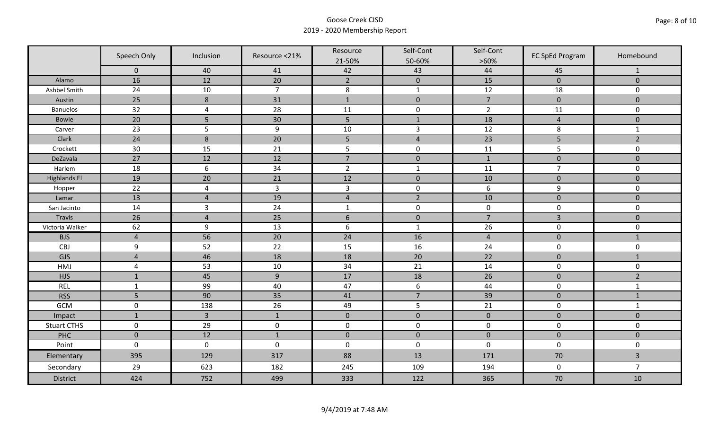|                     | Speech Only    | Inclusion        | Resource <21%  | Resource<br>21-50% | Self-Cont<br>50-60% | Self-Cont<br>$>60\%$ | <b>EC SpEd Program</b> | Homebound      |
|---------------------|----------------|------------------|----------------|--------------------|---------------------|----------------------|------------------------|----------------|
|                     | $\mathbf 0$    | 40               | 41             | 42                 | 43                  | 44                   | 45                     | $\mathbf{1}$   |
| Alamo               | 16             | 12               | 20             | $\overline{2}$     | $\pmb{0}$           | 15                   | $\pmb{0}$              | $\mathbf 0$    |
| Ashbel Smith        | 24             | $10\,$           | $\overline{7}$ | $\,8\,$            | $\mathbf{1}$        | 12                   | 18                     | 0              |
| Austin              | 25             | 8                | 31             | $\mathbf{1}$       | $\pmb{0}$           | $\overline{7}$       | $\pmb{0}$              | $\overline{0}$ |
| <b>Banuelos</b>     | 32             | $\overline{4}$   | 28             | 11                 | $\pmb{0}$           | $\overline{2}$       | 11                     | $\mathbf 0$    |
| <b>Bowie</b>        | 20             | 5                | 30             | 5                  | $1\,$               | 18                   | $\overline{a}$         | $\pmb{0}$      |
| Carver              | 23             | 5                | $9\,$          | 10                 | $\overline{3}$      | 12                   | 8                      | $\mathbf{1}$   |
| Clark               | 24             | $\boldsymbol{8}$ | 20             | 5                  | $\sqrt{4}$          | 23                   | 5                      | $\overline{2}$ |
| Crockett            | 30             | 15               | 21             | 5                  | $\pmb{0}$           | 11                   | 5                      | 0              |
| DeZavala            | 27             | 12               | 12             | $\overline{7}$     | $\pmb{0}$           | $\mathbf{1}$         | $\pmb{0}$              | $\overline{0}$ |
| Harlem              | 18             | $6\,$            | 34             | $\overline{2}$     | $\mathbf 1$         | 11                   | $\overline{7}$         | 0              |
| <b>Highlands El</b> | 19             | 20               | 21             | 12                 | $\pmb{0}$           | 10                   | $\pmb{0}$              | $\overline{0}$ |
| Hopper              | 22             | $\overline{4}$   | $\overline{3}$ | $\mathsf{3}$       | $\pmb{0}$           | 6                    | 9                      | 0              |
| Lamar               | 13             | $\overline{4}$   | 19             | $\sqrt{4}$         | $\overline{2}$      | 10                   | $\pmb{0}$              | $\mathbf 0$    |
| San Jacinto         | 14             | $\overline{3}$   | 24             | $\mathbf{1}$       | $\pmb{0}$           | $\pmb{0}$            | $\pmb{0}$              | 0              |
| Travis              | 26             | $\overline{4}$   | 25             | $6\,$              | $\pmb{0}$           | $\overline{7}$       | $\overline{3}$         | $\mathbf 0$    |
| Victoria Walker     | 62             | 9                | 13             | $\boldsymbol{6}$   | $\mathbf 1$         | 26                   | $\pmb{0}$              | 0              |
| <b>BJS</b>          | $\overline{4}$ | 56               | 20             | 24                 | 16                  | $\overline{4}$       | $\mathbf 0$            | $\mathbf{1}$   |
| CBJ                 | 9              | 52               | 22             | 15                 | 16                  | 24                   | $\pmb{0}$              | 0              |
| GJS                 | $\overline{4}$ | 46               | 18             | 18                 | 20                  | 22                   | $\mathbf 0$            | $\mathbf{1}$   |
| HMJ                 | $\overline{4}$ | 53               | 10             | 34                 | 21                  | 14                   | $\pmb{0}$              | 0              |
| <b>HJS</b>          | $\mathbf{1}$   | 45               | 9              | 17                 | 18                  | 26                   | $\pmb{0}$              | $\overline{2}$ |
| <b>REL</b>          | $\mathbf{1}$   | 99               | 40             | 47                 | $\boldsymbol{6}$    | 44                   | $\pmb{0}$              | $\mathbf{1}$   |
| <b>RSS</b>          | 5              | 90               | 35             | 41                 | $\overline{7}$      | 39                   | $\pmb{0}$              | $\mathbf{1}$   |
| GCM                 | $\mathsf 0$    | 138              | 26             | 49                 | 5                   | 21                   | $\pmb{0}$              | $\mathbf{1}$   |
| Impact              | $\mathbf{1}$   | $\overline{3}$   | $\mathbf{1}$   | $\mathbf 0$        | $\pmb{0}$           | $\mathbf 0$          | $\mathbf 0$            | $\overline{0}$ |
| <b>Stuart CTHS</b>  | $\mathsf 0$    | 29               | $\pmb{0}$      | $\pmb{0}$          | $\pmb{0}$           | $\pmb{0}$            | $\pmb{0}$              | 0              |
| PHC                 | $\mathbf 0$    | 12               | $1\,$          | $\pmb{0}$          | $\pmb{0}$           | $\pmb{0}$            | $\pmb{0}$              | $\pmb{0}$      |
| Point               | $\mathbf 0$    | $\mathbf 0$      | $\mathbf 0$    | $\boldsymbol{0}$   | $\pmb{0}$           | $\mathbf 0$          | $\mathbf 0$            | 0              |
| Elementary          | 395            | 129              | 317            | 88                 | 13                  | 171                  | 70                     | $\overline{3}$ |
| Secondary           | 29             | 623              | 182            | 245                | 109                 | 194                  | $\mathbf 0$            | $\overline{7}$ |
| <b>District</b>     | 424            | 752              | 499            | 333                | 122                 | 365                  | 70                     | 10             |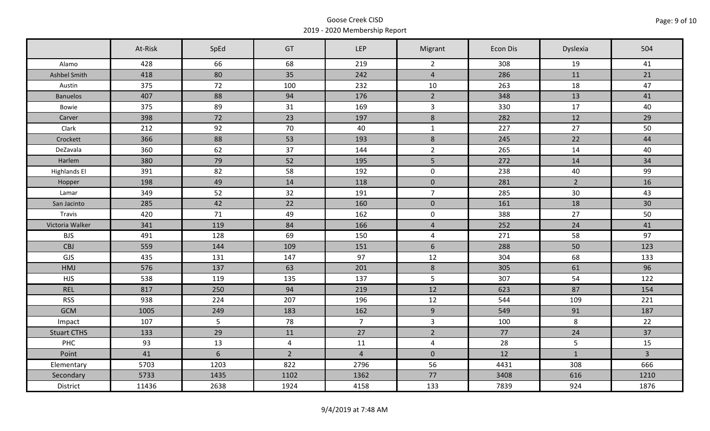|                     | At-Risk | SpEd | GT             | <b>LEP</b>     | Migrant             | Econ Dis | Dyslexia     | 504            |
|---------------------|---------|------|----------------|----------------|---------------------|----------|--------------|----------------|
| Alamo               | 428     | 66   | 68             | 219            | $\overline{2}$      | 308      | 19           | 41             |
| Ashbel Smith        | 418     | 80   | 35             | 242            | $\overline{4}$      | 286      | 11           | 21             |
| Austin              | 375     | 72   | 100            | 232            | 10                  | 263      | 18           | 47             |
| <b>Banuelos</b>     | 407     | 88   | 94             | 176            | $\overline{2}$      | 348      | 13           | 41             |
| Bowie               | 375     | 89   | 31             | 169            | $\overline{3}$      | 330      | 17           | 40             |
| Carver              | 398     | 72   | 23             | 197            | $8\phantom{1}$      | 282      | 12           | 29             |
| Clark               | 212     | 92   | 70             | 40             | $\mathbf{1}$        | 227      | 27           | 50             |
| Crockett            | 366     | 88   | 53             | 193            | $\,8\,$             | 245      | 22           | 44             |
| DeZavala            | 360     | 62   | 37             | 144            | $\overline{2}$      | 265      | 14           | 40             |
| Harlem              | 380     | 79   | 52             | 195            | 5 <sub>1</sub>      | 272      | 14           | 34             |
| <b>Highlands El</b> | 391     | 82   | 58             | 192            | $\mathbf 0$         | 238      | 40           | 99             |
| Hopper              | 198     | 49   | 14             | 118            | $\mathbf 0$         | 281      | $2^{\circ}$  | 16             |
| Lamar               | 349     | 52   | 32             | 191            | $\overline{7}$      | 285      | 30           | 43             |
| San Jacinto         | 285     | 42   | 22             | 160            | $\pmb{0}$           | 161      | 18           | 30             |
| Travis              | 420     | 71   | 49             | 162            | $\mathsf{O}\xspace$ | 388      | 27           | 50             |
| Victoria Walker     | 341     | 119  | 84             | 166            | $\overline{4}$      | 252      | 24           | 41             |
| <b>BJS</b>          | 491     | 128  | 69             | 150            | $\overline{4}$      | 271      | 58           | 97             |
| CBJ                 | 559     | 144  | 109            | 151            | $6\phantom{1}$      | 288      | 50           | 123            |
| GJS                 | 435     | 131  | 147            | 97             | 12                  | 304      | 68           | 133            |
| HMJ                 | 576     | 137  | 63             | 201            | $8\phantom{1}$      | 305      | 61           | 96             |
| <b>HJS</b>          | 538     | 119  | 135            | 137            | 5                   | 307      | 54           | 122            |
| <b>REL</b>          | 817     | 250  | 94             | 219            | 12                  | 623      | 87           | 154            |
| <b>RSS</b>          | 938     | 224  | 207            | 196            | 12                  | 544      | 109          | 221            |
| <b>GCM</b>          | 1005    | 249  | 183            | 162            | 9                   | 549      | 91           | 187            |
| Impact              | 107     | 5    | 78             | 7 <sup>7</sup> | $\mathbf{3}$        | 100      | 8            | 22             |
| <b>Stuart CTHS</b>  | 133     | 29   | 11             | 27             | $\overline{2}$      | 77       | 24           | 37             |
| PHC                 | 93      | 13   | $\overline{4}$ | 11             | $\overline{4}$      | 28       | 5            | 15             |
| Point               | 41      | 6    | $\overline{2}$ | $\overline{4}$ | $\mathbf 0$         | 12       | $\mathbf{1}$ | $\overline{3}$ |
| Elementary          | 5703    | 1203 | 822            | 2796           | 56                  | 4431     | 308          | 666            |
| Secondary           | 5733    | 1435 | 1102           | 1362           | 77                  | 3408     | 616          | 1210           |
| District            | 11436   | 2638 | 1924           | 4158           | 133                 | 7839     | 924          | 1876           |